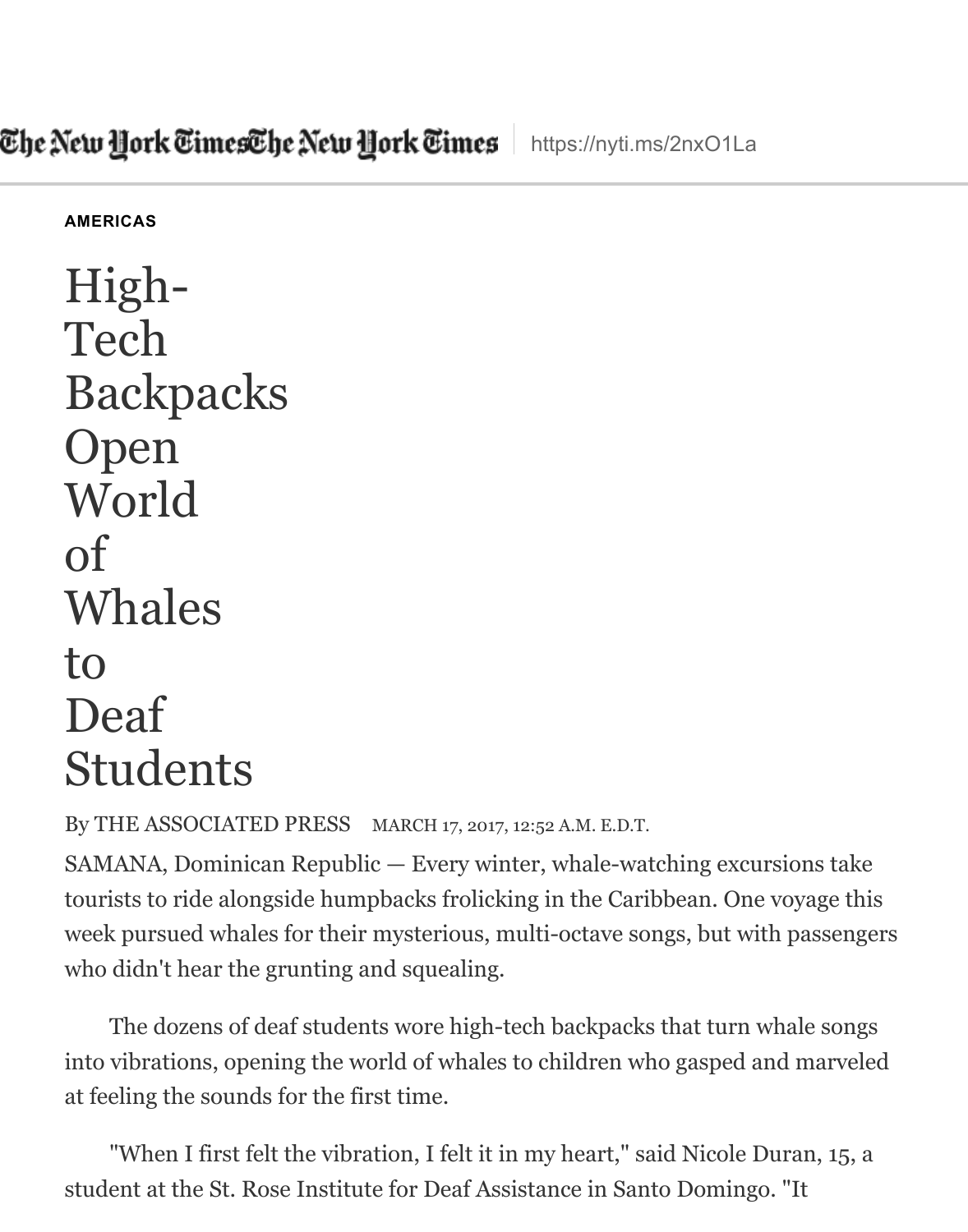[High-](http://www.nytimes.com/)Tech [Back](https://www.nytimes.com/pages/world/americas/index.html)packs Open World of Whales to Deaf Students

By THE ASSOCIATED PRESS MARCH 17, 2017, 12:52 A.M. E.D.T.

 $SAMANA$ , Dominican Republic  $-$  Every winter, whale-watching excursions tourists to ride alongside humpbacks frolicking in the Caribbean. One voyage week pursued whales for their mysterious, multi-octave songs, but with pas who didn't hear the grunting and squealing.

The dozens of deaf students wore high-tech backpacks that turn whale into vibrations, opening the world of whales to children who gasped and ma at feeling the sounds for the first time.

"When I first felt the vibration, I felt it in my heart," said Nicole Duran, student at the St. Rose Institute for Deaf Assistance in Santo Domingo. "It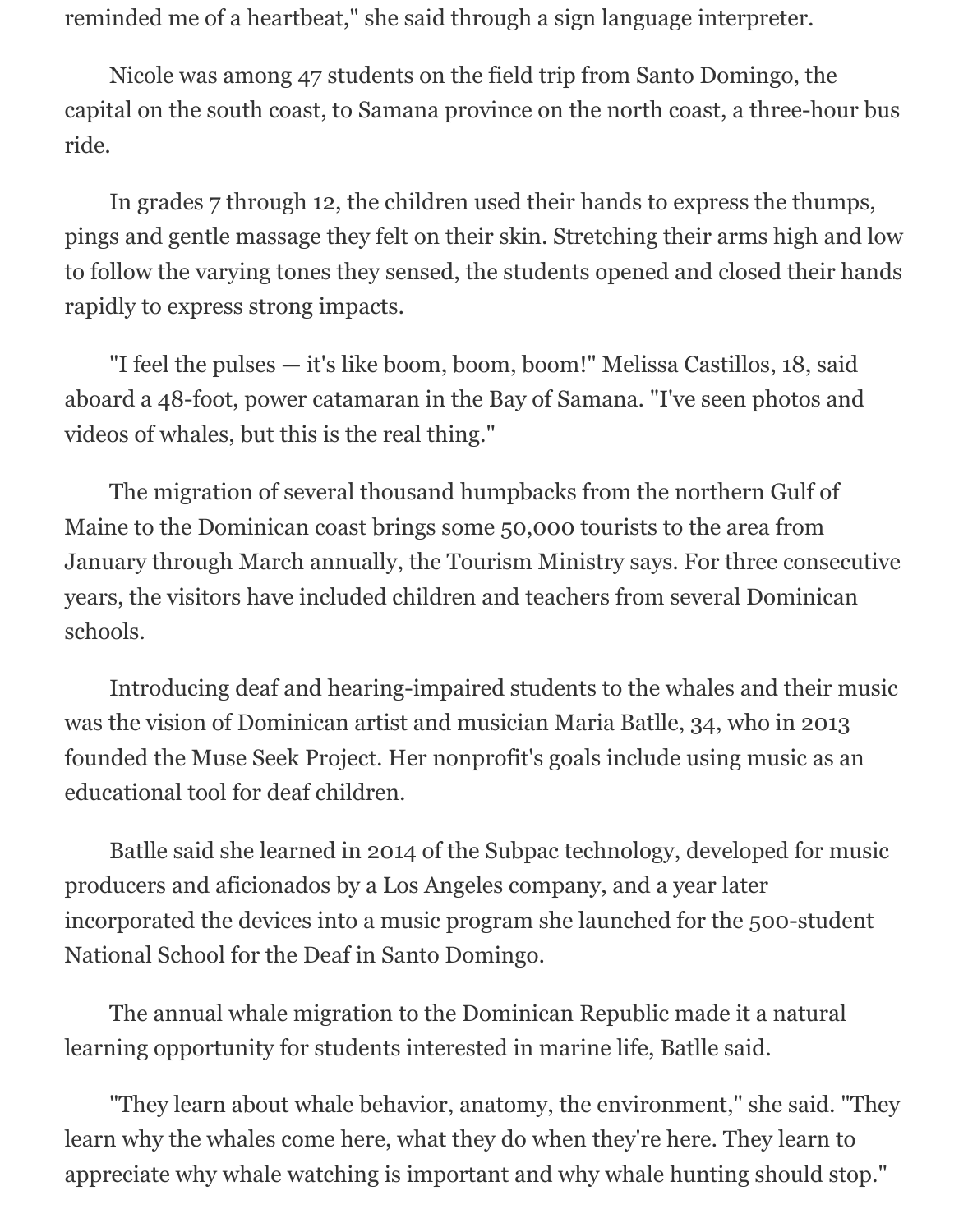reminded me of a heartbeat," she said through a sign language interpreter.

Nicole was among 47 students on the field trip from Santo Domingo, the capital on the south coast, to Samana province on the north coast, a three-hour bus ride.

In grades 7 through 12, the children used their hands to express the thumps, pings and gentle massage they felt on their skin. Stretching their arms high and low to follow the varying tones they sensed, the students opened and closed their hands rapidly to express strong impacts.

"I feel the pulses — it's like boom, boom, boom!" Melissa Castillos, 18, said aboard a 48-foot, power catamaran in the Bay of Samana. "I've seen photos and videos of whales, but this is the real thing."

The migration of several thousand humpbacks from the northern Gulf of Maine to the Dominican coast brings some 50,000 tourists to the area from January through March annually, the Tourism Ministry says. For three consecutive years, the visitors have included children and teachers from several Dominican schools.

Introducing deaf and hearing-impaired students to the whales and their music was the vision of Dominican artist and musician Maria Batlle, 34, who in 2013 founded the Muse Seek Project. Her nonprofit's goals include using music as an educational tool for deaf children.

Batlle said she learned in 2014 of the Subpac technology, developed for music producers and aficionados by a Los Angeles company, and a year later incorporated the devices into a music program she launched for the 500-student National School for the Deaf in Santo Domingo.

The annual whale migration to the Dominican Republic made it a natural learning opportunity for students interested in marine life, Batlle said.

"They learn about whale behavior, anatomy, the environment," she said. "They learn why the whales come here, what they do when they're here. They learn to appreciate why whale watching is important and why whale hunting should stop."